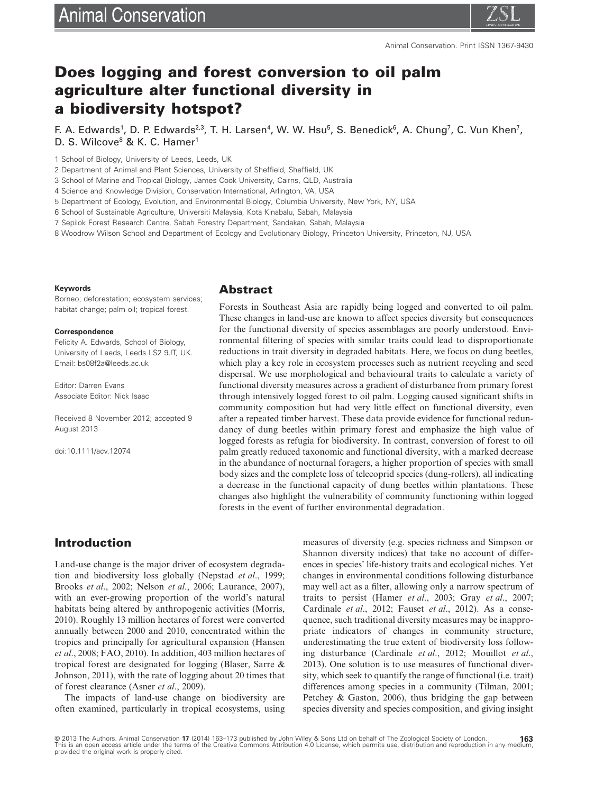# **Does logging and forest conversion to oil palm agriculture alter functional diversity in a biodiversity hotspot?**

F. A. Edwards<sup>1</sup>, D. P. Edwards<sup>2,3</sup>, T. H. Larsen<sup>4</sup>, W. W. Hsu<sup>5</sup>, S. Benedick<sup>6</sup>, A. Chung<sup>7</sup>, C. Vun Khen<sup>7</sup>, D. S. Wilcove<sup>8</sup> & K. C. Hamer<sup>1</sup>

1 School of Biology, University of Leeds, Leeds, UK

2 Department of Animal and Plant Sciences, University of Sheffield, Sheffield, UK

3 School of Marine and Tropical Biology, James Cook University, Cairns, QLD, Australia

4 Science and Knowledge Division, Conservation International, Arlington, VA, USA

5 Department of Ecology, Evolution, and Environmental Biology, Columbia University, New York, NY, USA

6 School of Sustainable Agriculture, Universiti Malaysia, Kota Kinabalu, Sabah, Malaysia

7 Sepilok Forest Research Centre, Sabah Forestry Department, Sandakan, Sabah, Malaysia

8 Woodrow Wilson School and Department of Ecology and Evolutionary Biology, Princeton University, Princeton, NJ, USA

#### **Keywords**

Borneo; deforestation; ecosystem services; habitat change; palm oil; tropical forest.

#### **Correspondence**

Felicity A. Edwards, School of Biology, University of Leeds, Leeds LS2 9JT, UK. Email: bs08f2a@leeds.ac.uk

Editor: Darren Evans Associate Editor: Nick Isaac

Received 8 November 2012; accepted 9 August 2013

doi:10.1111/acv.12074

### **Abstract**

Forests in Southeast Asia are rapidly being logged and converted to oil palm. These changes in land-use are known to affect species diversity but consequences for the functional diversity of species assemblages are poorly understood. Environmental filtering of species with similar traits could lead to disproportionate reductions in trait diversity in degraded habitats. Here, we focus on dung beetles, which play a key role in ecosystem processes such as nutrient recycling and seed dispersal. We use morphological and behavioural traits to calculate a variety of functional diversity measures across a gradient of disturbance from primary forest through intensively logged forest to oil palm. Logging caused significant shifts in community composition but had very little effect on functional diversity, even after a repeated timber harvest. These data provide evidence for functional redundancy of dung beetles within primary forest and emphasize the high value of logged forests as refugia for biodiversity. In contrast, conversion of forest to oil palm greatly reduced taxonomic and functional diversity, with a marked decrease in the abundance of nocturnal foragers, a higher proportion of species with small body sizes and the complete loss of telecoprid species (dung-rollers), all indicating a decrease in the functional capacity of dung beetles within plantations. These changes also highlight the vulnerability of community functioning within logged forests in the event of further environmental degradation.

# **Introduction**

Land-use change is the major driver of ecosystem degradation and biodiversity loss globally (Nepstad *et al*., 1999; Brooks *et al*., 2002; Nelson *et al*., 2006; Laurance, 2007), with an ever-growing proportion of the world's natural habitats being altered by anthropogenic activities (Morris, 2010). Roughly 13 million hectares of forest were converted annually between 2000 and 2010, concentrated within the tropics and principally for agricultural expansion (Hansen *et al*., 2008; FAO, 2010). In addition, 403 million hectares of tropical forest are designated for logging (Blaser, Sarre & Johnson, 2011), with the rate of logging about 20 times that of forest clearance (Asner *et al*., 2009).

The impacts of land-use change on biodiversity are often examined, particularly in tropical ecosystems, using measures of diversity (e.g. species richness and Simpson or Shannon diversity indices) that take no account of differences in species' life-history traits and ecological niches. Yet changes in environmental conditions following disturbance may well act as a filter, allowing only a narrow spectrum of traits to persist (Hamer *et al*., 2003; Gray *et al*., 2007; Cardinale *et al*., 2012; Fauset *et al*., 2012). As a consequence, such traditional diversity measures may be inappropriate indicators of changes in community structure, underestimating the true extent of biodiversity loss following disturbance (Cardinale *et al*., 2012; Mouillot *et al*., 2013). One solution is to use measures of functional diversity, which seek to quantify the range of functional (i.e. trait) differences among species in a community (Tilman, 2001; Petchey & Gaston, 2006), thus bridging the gap between species diversity and species composition, and giving insight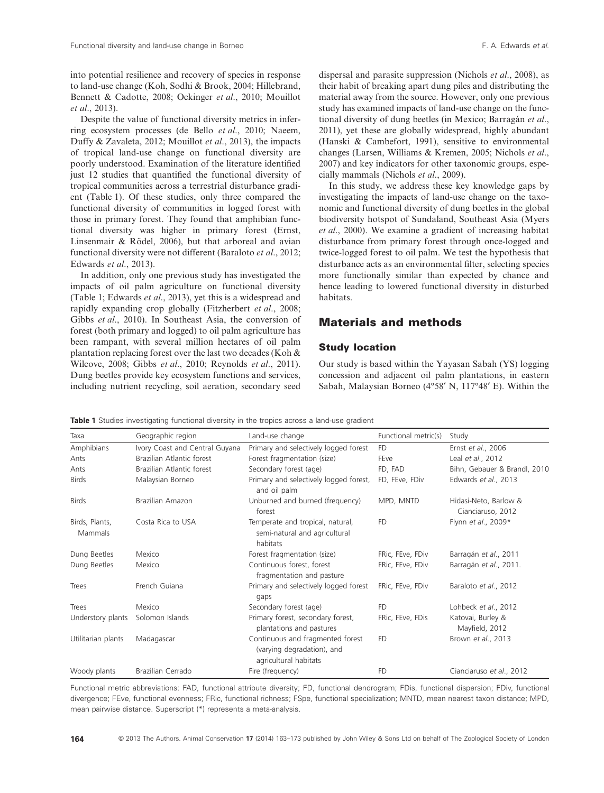into potential resilience and recovery of species in response to land-use change (Koh, Sodhi & Brook, 2004; Hillebrand, Bennett & Cadotte, 2008; Ockinger *et al*., 2010; Mouillot *et al*., 2013).

Despite the value of functional diversity metrics in inferring ecosystem processes (de Bello *et al*., 2010; Naeem, Duffy & Zavaleta, 2012; Mouillot *et al*., 2013), the impacts of tropical land-use change on functional diversity are poorly understood. Examination of the literature identified just 12 studies that quantified the functional diversity of tropical communities across a terrestrial disturbance gradient (Table 1). Of these studies, only three compared the functional diversity of communities in logged forest with those in primary forest. They found that amphibian functional diversity was higher in primary forest (Ernst, Linsenmair & Rödel, 2006), but that arboreal and avian functional diversity were not different (Baraloto *et al*., 2012; Edwards *et al*., 2013).

In addition, only one previous study has investigated the impacts of oil palm agriculture on functional diversity (Table 1; Edwards *et al*., 2013), yet this is a widespread and rapidly expanding crop globally (Fitzherbert *et al*., 2008; Gibbs *et al*., 2010). In Southeast Asia, the conversion of forest (both primary and logged) to oil palm agriculture has been rampant, with several million hectares of oil palm plantation replacing forest over the last two decades (Koh & Wilcove, 2008; Gibbs *et al*., 2010; Reynolds *et al*., 2011). Dung beetles provide key ecosystem functions and services, including nutrient recycling, soil aeration, secondary seed

dispersal and parasite suppression (Nichols *et al*., 2008), as their habit of breaking apart dung piles and distributing the material away from the source. However, only one previous study has examined impacts of land-use change on the functional diversity of dung beetles (in Mexico; Barragán *et al*., 2011), yet these are globally widespread, highly abundant (Hanski & Cambefort, 1991), sensitive to environmental changes (Larsen, Williams & Kremen, 2005; Nichols *et al*., 2007) and key indicators for other taxonomic groups, especially mammals (Nichols *et al*., 2009).

In this study, we address these key knowledge gaps by investigating the impacts of land-use change on the taxonomic and functional diversity of dung beetles in the global biodiversity hotspot of Sundaland, Southeast Asia (Myers *et al*., 2000). We examine a gradient of increasing habitat disturbance from primary forest through once-logged and twice-logged forest to oil palm. We test the hypothesis that disturbance acts as an environmental filter, selecting species more functionally similar than expected by chance and hence leading to lowered functional diversity in disturbed habitats.

# **Materials and methods**

# **Study location**

Our study is based within the Yayasan Sabah (YS) logging concession and adjacent oil palm plantations, in eastern Sabah, Malaysian Borneo (4°58′ N, 117°48′ E). Within the

**Table 1** Studies investigating functional diversity in the tropics across a land-use gradient

| Taxa                      | Geographic region              | Land-use change                                                                         | Functional metric(s) | Study                                      |
|---------------------------|--------------------------------|-----------------------------------------------------------------------------------------|----------------------|--------------------------------------------|
| Amphibians                | Ivory Coast and Central Guyana | Primary and selectively logged forest                                                   | <b>FD</b>            | Ernst et al., 2006                         |
| Ants                      | Brazilian Atlantic forest      | Forest fragmentation (size)                                                             | FEve                 | Leal et al., 2012                          |
| Ants                      | Brazilian Atlantic forest      | Secondary forest (age)                                                                  | FD, FAD              | Bihn, Gebauer & Brandl, 2010               |
| <b>Birds</b>              | Malaysian Borneo               | Primary and selectively logged forest,<br>and oil palm                                  | FD, FEve, FDiv       | Edwards et al., 2013                       |
| <b>Birds</b>              | Brazilian Amazon               | Unburned and burned (frequency)<br>forest                                               | MPD, MNTD            | Hidasi-Neto, Barlow &<br>Cianciaruso, 2012 |
| Birds, Plants,<br>Mammals | Costa Rica to USA              | Temperate and tropical, natural,<br>semi-natural and agricultural<br>habitats           | <b>FD</b>            | Flynn et al., 2009*                        |
| Dung Beetles              | Mexico                         | Forest fragmentation (size)                                                             | FRic, FEve, FDiv     | Barragán et al., 2011                      |
| Dung Beetles              | Mexico                         | Continuous forest, forest<br>fragmentation and pasture                                  | FRic, FEve, FDiv     | Barragán et al., 2011.                     |
| Trees                     | French Guiana                  | Primary and selectively logged forest<br>gaps                                           | FRic, FEve, FDiv     | Baraloto et al., 2012                      |
| Trees                     | Mexico                         | Secondary forest (age)                                                                  | <b>FD</b>            | Lohbeck et al., 2012                       |
| Understory plants         | Solomon Islands                | Primary forest, secondary forest,<br>plantations and pastures                           | FRic, FEve, FDis     | Katovai, Burley &<br>Mayfield, 2012        |
| Utilitarian plants        | Madagascar                     | Continuous and fragmented forest<br>(varying degradation), and<br>agricultural habitats | <b>FD</b>            | Brown et al., 2013                         |
| Woody plants              | Brazilian Cerrado              | Fire (frequency)                                                                        | FD                   | Cianciaruso et al., 2012                   |

Functional metric abbreviations: FAD, functional attribute diversity; FD, functional dendrogram; FDis, functional dispersion; FDiv, functional divergence; FEve, functional evenness; FRic, functional richness; FSpe, functional specialization; MNTD, mean nearest taxon distance; MPD, mean pairwise distance. Superscript (\*) represents a meta-analysis.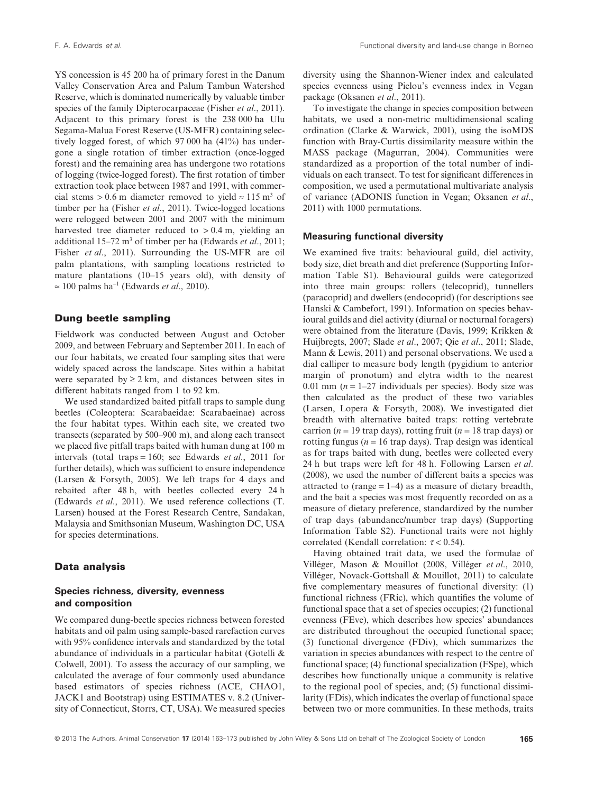YS concession is 45 200 ha of primary forest in the Danum Valley Conservation Area and Palum Tambun Watershed Reserve, which is dominated numerically by valuable timber species of the family Dipterocarpaceae (Fisher *et al*., 2011). Adjacent to this primary forest is the 238 000 ha Ulu Segama-Malua Forest Reserve (US-MFR) containing selectively logged forest, of which 97 000 ha (41%) has undergone a single rotation of timber extraction (once-logged forest) and the remaining area has undergone two rotations of logging (twice-logged forest). The first rotation of timber extraction took place between 1987 and 1991, with commercial stems > 0.6 m diameter removed to yield  $\approx 115$  m<sup>3</sup> of timber per ha (Fisher *et al*., 2011). Twice-logged locations were relogged between 2001 and 2007 with the minimum harvested tree diameter reduced to  $> 0.4$  m, yielding an additional 15–72 m3 of timber per ha (Edwards *et al*., 2011; Fisher *et al*., 2011). Surrounding the US-MFR are oil palm plantations, with sampling locations restricted to mature plantations (10–15 years old), with density of ≈ 100 palms ha<sup>−</sup><sup>1</sup> (Edwards *et al*., 2010).

### **Dung beetle sampling**

Fieldwork was conducted between August and October 2009, and between February and September 2011. In each of our four habitats, we created four sampling sites that were widely spaced across the landscape. Sites within a habitat were separated by  $\geq 2$  km, and distances between sites in different habitats ranged from 1 to 92 km.

We used standardized baited pitfall traps to sample dung beetles (Coleoptera: Scarabaeidae: Scarabaeinae) across the four habitat types. Within each site, we created two transects (separated by 500–900 m), and along each transect we placed five pitfall traps baited with human dung at 100 m intervals (total traps = 160; see Edwards *et al*., 2011 for further details), which was sufficient to ensure independence (Larsen & Forsyth, 2005). We left traps for 4 days and rebaited after 48 h, with beetles collected every 24 h (Edwards *et al*., 2011). We used reference collections (T. Larsen) housed at the Forest Research Centre, Sandakan, Malaysia and Smithsonian Museum, Washington DC, USA for species determinations.

### **Data analysis**

### **Species richness, diversity, evenness and composition**

We compared dung-beetle species richness between forested habitats and oil palm using sample-based rarefaction curves with 95% confidence intervals and standardized by the total abundance of individuals in a particular habitat (Gotelli & Colwell, 2001). To assess the accuracy of our sampling, we calculated the average of four commonly used abundance based estimators of species richness (ACE, CHAO1, JACK1 and Bootstrap) using ESTIMATES v. 8.2 (University of Connecticut, Storrs, CT, USA). We measured species diversity using the Shannon-Wiener index and calculated species evenness using Pielou's evenness index in Vegan package (Oksanen *et al*., 2011).

To investigate the change in species composition between habitats, we used a non-metric multidimensional scaling ordination (Clarke & Warwick, 2001), using the isoMDS function with Bray-Curtis dissimilarity measure within the MASS package (Magurran, 2004). Communities were standardized as a proportion of the total number of individuals on each transect. To test for significant differences in composition, we used a permutational multivariate analysis of variance (ADONIS function in Vegan; Oksanen *et al*., 2011) with 1000 permutations.

#### **Measuring functional diversity**

We examined five traits: behavioural guild, diel activity, body size, diet breath and diet preference (Supporting Information Table S1). Behavioural guilds were categorized into three main groups: rollers (telecoprid), tunnellers (paracoprid) and dwellers (endocoprid) (for descriptions see Hanski & Cambefort, 1991). Information on species behavioural guilds and diel activity (diurnal or nocturnal foragers) were obtained from the literature (Davis, 1999; Krikken & Huijbregts, 2007; Slade *et al*., 2007; Qie *et al*., 2011; Slade, Mann & Lewis, 2011) and personal observations. We used a dial calliper to measure body length (pygidium to anterior margin of pronotum) and elytra width to the nearest 0.01 mm  $(n = 1-27)$  individuals per species). Body size was then calculated as the product of these two variables (Larsen, Lopera & Forsyth, 2008). We investigated diet breadth with alternative baited traps: rotting vertebrate carrion ( $n = 19$  trap days), rotting fruit ( $n = 18$  trap days) or rotting fungus ( $n = 16$  trap days). Trap design was identical as for traps baited with dung, beetles were collected every 24 h but traps were left for 48 h. Following Larsen *et al*. (2008), we used the number of different baits a species was attracted to (range  $= 1-4$ ) as a measure of dietary breadth, and the bait a species was most frequently recorded on as a measure of dietary preference, standardized by the number of trap days (abundance/number trap days) (Supporting Information Table S2). Functional traits were not highly correlated (Kendall correlation: *τ* < 0.54).

Having obtained trait data, we used the formulae of Villéger, Mason & Mouillot (2008, Villéger *et al*., 2010, Villéger, Novack-Gottshall & Mouillot, 2011) to calculate five complementary measures of functional diversity: (1) functional richness (FRic), which quantifies the volume of functional space that a set of species occupies; (2) functional evenness (FEve), which describes how species' abundances are distributed throughout the occupied functional space; (3) functional divergence (FDiv), which summarizes the variation in species abundances with respect to the centre of functional space; (4) functional specialization (FSpe), which describes how functionally unique a community is relative to the regional pool of species, and; (5) functional dissimilarity (FDis), which indicates the overlap of functional space between two or more communities. In these methods, traits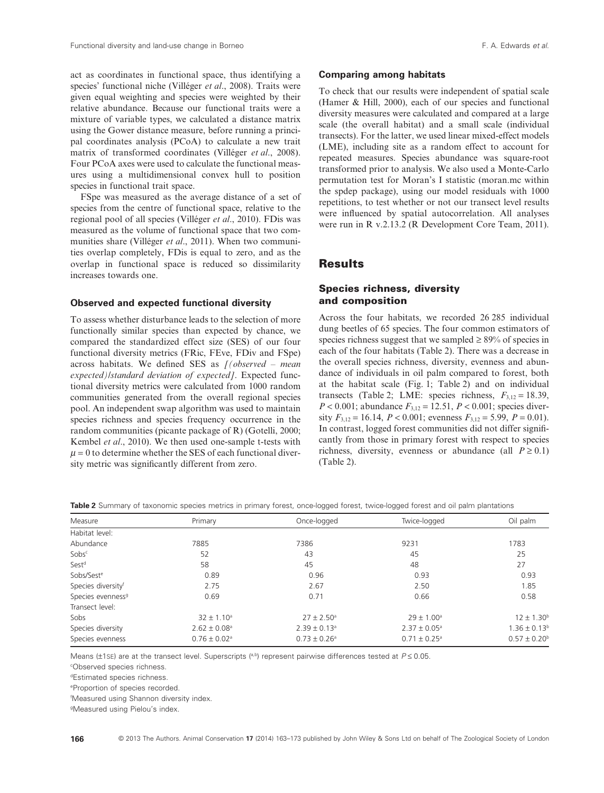act as coordinates in functional space, thus identifying a species' functional niche (Villéger *et al*., 2008). Traits were given equal weighting and species were weighted by their relative abundance. Because our functional traits were a mixture of variable types, we calculated a distance matrix using the Gower distance measure, before running a principal coordinates analysis (PCoA) to calculate a new trait matrix of transformed coordinates (Villéger *et al*., 2008). Four PCoA axes were used to calculate the functional measures using a multidimensional convex hull to position species in functional trait space.

FSpe was measured as the average distance of a set of species from the centre of functional space, relative to the regional pool of all species (Villéger *et al*., 2010). FDis was measured as the volume of functional space that two communities share (Villéger *et al*., 2011). When two communities overlap completely, FDis is equal to zero, and as the overlap in functional space is reduced so dissimilarity increases towards one.

#### **Observed and expected functional diversity**

To assess whether disturbance leads to the selection of more functionally similar species than expected by chance, we compared the standardized effect size (SES) of our four functional diversity metrics (FRic, FEve, FDiv and FSpe) across habitats. We defined SES as *[(observed – mean expected)/standard deviation of expected]*. Expected functional diversity metrics were calculated from 1000 random communities generated from the overall regional species pool. An independent swap algorithm was used to maintain species richness and species frequency occurrence in the random communities (picante package of R) (Gotelli, 2000; Kembel *et al*., 2010). We then used one-sample t-tests with  $\mu = 0$  to determine whether the SES of each functional diversity metric was significantly different from zero.

#### **Comparing among habitats**

To check that our results were independent of spatial scale (Hamer & Hill, 2000), each of our species and functional diversity measures were calculated and compared at a large scale (the overall habitat) and a small scale (individual transects). For the latter, we used linear mixed-effect models (LME), including site as a random effect to account for repeated measures. Species abundance was square-root transformed prior to analysis. We also used a Monte-Carlo permutation test for Moran's I statistic (moran.mc within the spdep package), using our model residuals with 1000 repetitions, to test whether or not our transect level results were influenced by spatial autocorrelation. All analyses were run in R v.2.13.2 (R Development Core Team, 2011).

# **Results**

### **Species richness, diversity and composition**

Across the four habitats, we recorded 26 285 individual dung beetles of 65 species. The four common estimators of species richness suggest that we sampled  $\geq 89\%$  of species in each of the four habitats (Table 2). There was a decrease in the overall species richness, diversity, evenness and abundance of individuals in oil palm compared to forest, both at the habitat scale (Fig. 1; Table 2) and on individual transects (Table 2; LME: species richness,  $F_{3,12} = 18.39$ ,  $P < 0.001$ ; abundance  $F_{3,12} = 12.51$ ,  $P < 0.001$ ; species diversity  $F_{3,12} = 16.14$ ,  $P < 0.001$ ; evenness  $F_{3,12} = 5.99$ ,  $P = 0.01$ ). In contrast, logged forest communities did not differ significantly from those in primary forest with respect to species richness, diversity, evenness or abundance (all  $P \ge 0.1$ ) (Table 2).

Measure Primary Once-logged Twice-logged Oil palm Habitat level: Abundance 7885 7386 9231 1783  $S_{\text{obs}}^{\text{c}}$  52 52 43 43 45 45 Sest<sup>d</sup> 58 58 45 48 48 27 Sobs/Seste 0.89 0.96 0.93 0.93 Species diversity<sup>f</sup> 2.75 2.67 2.67 2.50 2.50 2.85 Species evenness<sup>9</sup> 0.69 0.69 0.71 0.66 0.58 0.58 Transect level: Sobs  $32 \pm 1.10^a$   $27 \pm 2.50^a$   $29 \pm 1.00^a$   $12 \pm 1.30^b$ Species diversity 2.62 ± 0.08<sup>a</sup> 2.39 ± 0.13<sup>a</sup> 2.37 ± 0.05<sup>a</sup> 2.37 ± 0.05<sup>a</sup> 2.37 ± 0.05<sup>a</sup> 2.37 ± 0.05<sup>a</sup> Species evenness  $0.76 \pm 0.02^{\text{a}}$   $0.73 \pm 0.26^{\text{a}}$   $0.71 \pm 0.25^{\text{a}}$   $0.57 \pm 0.20^{\text{b}}$ 

**Table 2** Summary of taxonomic species metrics in primary forest, once-logged forest, twice-logged forest and oil palm plantations

Means (±1sE) are at the transect level. Superscripts (a,b) represent pairwise differences tested at *P* ≤ 0.05.

c Observed species richness.

d Estimated species richness.

e Proportion of species recorded.

f Measured using Shannon diversity index.

g Measured using Pielou's index.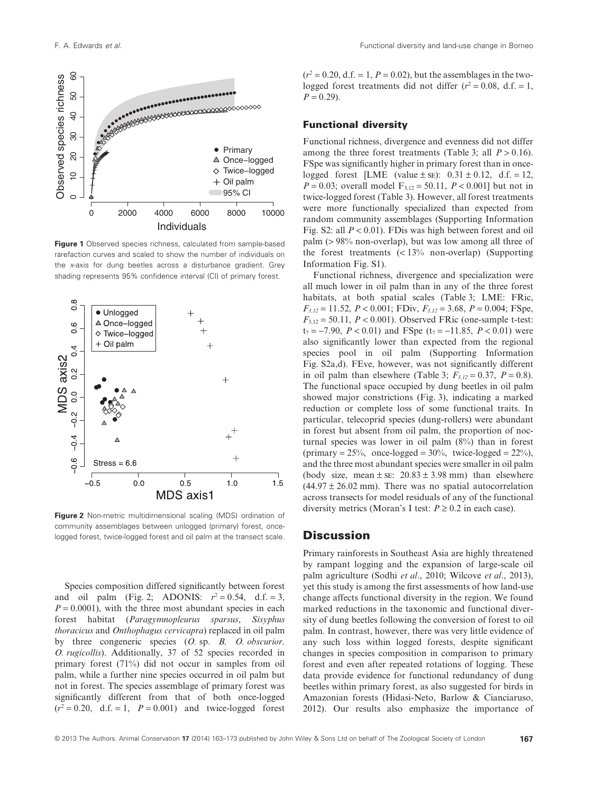

**Figure 1** Observed species richness, calculated from sample-based rarefaction curves and scaled to show the number of individuals on the *x*-axis for dung beetles across a disturbance gradient. Grey shading represents 95% confidence interval (CI) of primary forest.



**Figure 2** Non-metric multidimensional scaling (MDS) ordination of community assemblages between unlogged (primary) forest, oncelogged forest, twice-logged forest and oil palm at the transect scale.

Species composition differed significantly between forest and oil palm (Fig. 2; ADONIS:  $r^2 = 0.54$ , d.f. = 3,  $P = 0.0001$ , with the three most abundant species in each forest habitat (*Paragymnopleurus sparsus*, *Sisyphus thoracicus* and *Onthophagus cervicapra*) replaced in oil palm by three congeneric species (*O.* sp. *B, O. obscurior, O. rugicollis*). Additionally, 37 of 52 species recorded in primary forest (71%) did not occur in samples from oil palm, while a further nine species occurred in oil palm but not in forest. The species assemblage of primary forest was significantly different from that of both once-logged  $(r^2 = 0.20, d.f. = 1, P = 0.001)$  and twice-logged forest

 $(r^2 = 0.20, d.f. = 1, P = 0.02)$ , but the assemblages in the twologged forest treatments did not differ  $(r^2 = 0.08, d.f. = 1,$  $P = 0.29$ .

#### **Functional diversity**

Functional richness, divergence and evenness did not differ among the three forest treatments (Table 3; all  $P > 0.16$ ). FSpe was significantly higher in primary forest than in oncelogged forest [LME (value  $\pm$  se):  $0.31 \pm 0.12$ , d.f. = 12,  $P = 0.03$ ; overall model  $F_{3,12} = 50.11$ ,  $P < 0.001$ ] but not in twice-logged forest (Table 3). However, all forest treatments were more functionally specialized than expected from random community assemblages (Supporting Information Fig. S2: all *P* < 0.01). FDis was high between forest and oil palm (> 98% non-overlap), but was low among all three of the forest treatments (< 13% non-overlap) (Supporting Information Fig. S1).

Functional richness, divergence and specialization were all much lower in oil palm than in any of the three forest habitats, at both spatial scales (Table 3; LME: FRic, *F3,12* = 11.52, *P* < 0.001; FDiv, *F3,12* = 3.68, *P* = 0.004; FSpe,  $F_{3,12} = 50.11$ ,  $P < 0.001$ ). Observed FRic (one-sample t-test:  $t_7 = -7.90$ ,  $P < 0.01$ ) and FSpe ( $t_7 = -11.85$ ,  $P < 0.01$ ) were also significantly lower than expected from the regional species pool in oil palm (Supporting Information Fig. S2a,d). FEve, however, was not significantly different in oil palm than elsewhere (Table 3;  $F_{3,12} = 0.37$ ,  $P = 0.8$ ). The functional space occupied by dung beetles in oil palm showed major constrictions (Fig. 3), indicating a marked reduction or complete loss of some functional traits. In particular, telecoprid species (dung-rollers) were abundant in forest but absent from oil palm, the proportion of nocturnal species was lower in oil palm (8%) than in forest (primary =  $25\%$ , once-logged =  $30\%$ , twice-logged =  $22\%$ ), and the three most abundant species were smaller in oil palm (body size, mean  $\pm$  se: 20.83  $\pm$  3.98 mm) than elsewhere  $(44.97 \pm 26.02 \text{ mm})$ . There was no spatial autocorrelation across transects for model residuals of any of the functional diversity metrics (Moran's I test:  $P \ge 0.2$  in each case).

# **Discussion**

Primary rainforests in Southeast Asia are highly threatened by rampant logging and the expansion of large-scale oil palm agriculture (Sodhi *et al*., 2010; Wilcove *et al*., 2013), yet this study is among the first assessments of how land-use change affects functional diversity in the region. We found marked reductions in the taxonomic and functional diversity of dung beetles following the conversion of forest to oil palm. In contrast, however, there was very little evidence of any such loss within logged forests, despite significant changes in species composition in comparison to primary forest and even after repeated rotations of logging. These data provide evidence for functional redundancy of dung beetles within primary forest, as also suggested for birds in Amazonian forests (Hidasi-Neto, Barlow & Cianciaruso, 2012). Our results also emphasize the importance of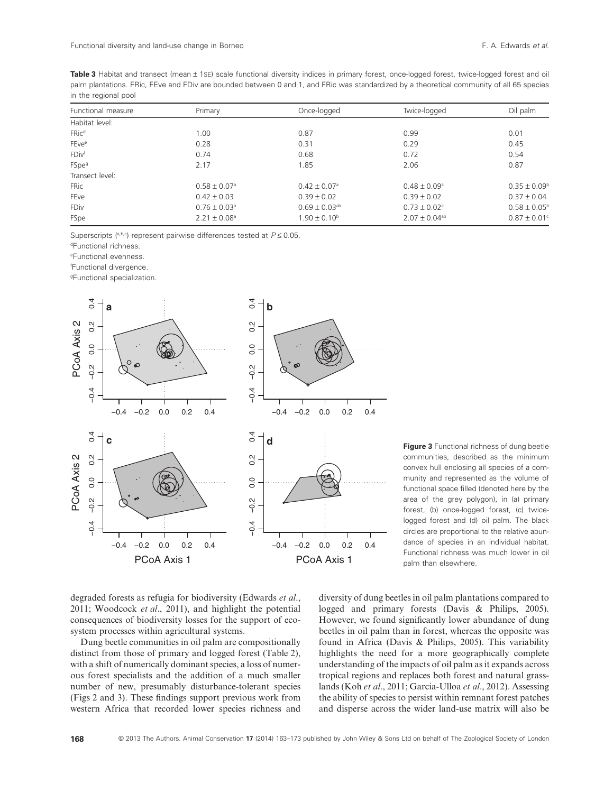**Table 3** Habitat and transect (mean ± 1SE) scale functional diversity indices in primary forest, once-logged forest, twice-logged forest and oil palm plantations. FRic, FEve and FDiv are bounded between 0 and 1, and FRic was standardized by a theoretical community of all 65 species in the regional pool

| Functional measure | Primary                      | Once-logged                  | Twice-logged                 | Oil palm                |
|--------------------|------------------------------|------------------------------|------------------------------|-------------------------|
| Habitat level:     |                              |                              |                              |                         |
| <b>FRicd</b>       | 1.00                         | 0.87                         | 0.99                         | 0.01                    |
| FEvee              | 0.28                         | 0.31                         | 0.29                         | 0.45                    |
| FDivf              | 0.74                         | 0.68                         | 0.72                         | 0.54                    |
| FSpe <sup>9</sup>  | 2.17                         | 1.85                         | 2.06                         | 0.87                    |
| Transect level:    |                              |                              |                              |                         |
| <b>FRic</b>        | $0.58 \pm 0.07$ <sup>a</sup> | $0.42 \pm 0.07$ <sup>a</sup> | $0.48 \pm 0.09$ <sup>a</sup> | $0.35 \pm 0.09^b$       |
| FEve               | $0.42 \pm 0.03$              | $0.39 \pm 0.02$              | $0.39 \pm 0.02$              | $0.37 \pm 0.04$         |
| FDiv               | $0.76 \pm 0.03$ <sup>a</sup> | $0.69 \pm 0.03^{ab}$         | $0.73 \pm 0.02$ <sup>a</sup> | $0.58 \pm 0.05^{\circ}$ |
| FSpe               | $2.21 \pm 0.08^{\circ}$      | $1.90 \pm 0.10^{\circ}$      | $2.07 \pm 0.04^{ab}$         | $0.87 \pm 0.01^{\circ}$ |

Superscripts (a,b,c) represent pairwise differences tested at  $P \le 0.05$ .

d Functional richness.

e Functional evenness.

f Functional divergence.

g Functional specialization.



communities, described as the minimum convex hull enclosing all species of a community and represented as the volume of functional space filled (denoted here by the area of the grey polygon), in (a) primary forest, (b) once-logged forest, (c) twicelogged forest and (d) oil palm. The black circles are proportional to the relative abundance of species in an individual habitat. Functional richness was much lower in oil palm than elsewhere.

degraded forests as refugia for biodiversity (Edwards *et al*., 2011; Woodcock *et al*., 2011), and highlight the potential consequences of biodiversity losses for the support of ecosystem processes within agricultural systems.

Dung beetle communities in oil palm are compositionally distinct from those of primary and logged forest (Table 2), with a shift of numerically dominant species, a loss of numerous forest specialists and the addition of a much smaller number of new, presumably disturbance-tolerant species (Figs 2 and 3). These findings support previous work from western Africa that recorded lower species richness and diversity of dung beetles in oil palm plantations compared to logged and primary forests (Davis & Philips, 2005). However, we found significantly lower abundance of dung beetles in oil palm than in forest, whereas the opposite was found in Africa (Davis & Philips, 2005). This variability highlights the need for a more geographically complete understanding of the impacts of oil palm as it expands across tropical regions and replaces both forest and natural grasslands (Koh *et al*., 2011; Garcia-Ulloa *et al*., 2012). Assessing the ability of species to persist within remnant forest patches and disperse across the wider land-use matrix will also be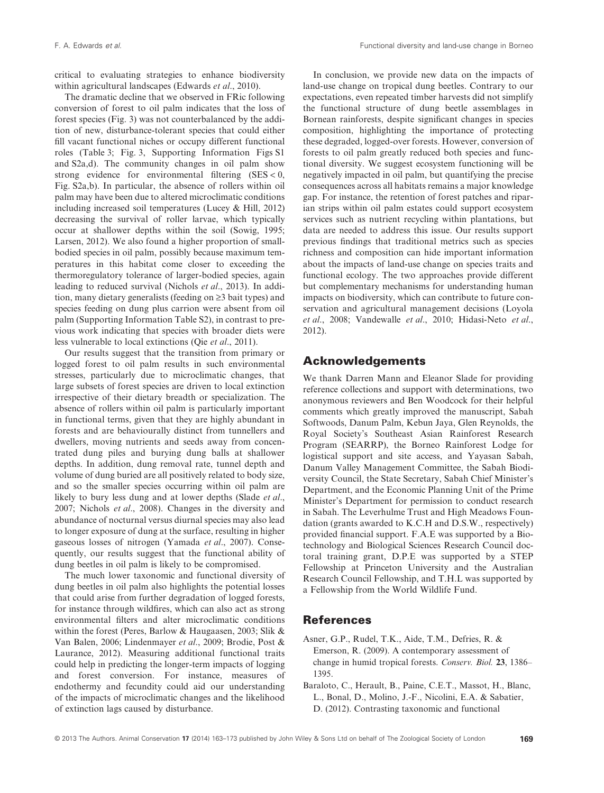critical to evaluating strategies to enhance biodiversity within agricultural landscapes (Edwards *et al*., 2010).

The dramatic decline that we observed in FRic following conversion of forest to oil palm indicates that the loss of forest species (Fig. 3) was not counterbalanced by the addition of new, disturbance-tolerant species that could either fill vacant functional niches or occupy different functional roles (Table 3; Fig. 3, Supporting Information Figs S1 and S2a,d). The community changes in oil palm show strong evidence for environmental filtering  $(SES < 0,$ Fig. S2a,b). In particular, the absence of rollers within oil palm may have been due to altered microclimatic conditions including increased soil temperatures (Lucey & Hill, 2012) decreasing the survival of roller larvae, which typically occur at shallower depths within the soil (Sowig, 1995; Larsen, 2012). We also found a higher proportion of smallbodied species in oil palm, possibly because maximum temperatures in this habitat come closer to exceeding the thermoregulatory tolerance of larger-bodied species, again leading to reduced survival (Nichols *et al*., 2013). In addition, many dietary generalists (feeding on ≥3 bait types) and species feeding on dung plus carrion were absent from oil palm (Supporting Information Table S2), in contrast to previous work indicating that species with broader diets were less vulnerable to local extinctions (Qie *et al*., 2011).

Our results suggest that the transition from primary or logged forest to oil palm results in such environmental stresses, particularly due to microclimatic changes, that large subsets of forest species are driven to local extinction irrespective of their dietary breadth or specialization. The absence of rollers within oil palm is particularly important in functional terms, given that they are highly abundant in forests and are behaviourally distinct from tunnellers and dwellers, moving nutrients and seeds away from concentrated dung piles and burying dung balls at shallower depths. In addition, dung removal rate, tunnel depth and volume of dung buried are all positively related to body size, and so the smaller species occurring within oil palm are likely to bury less dung and at lower depths (Slade *et al*., 2007; Nichols *et al*., 2008). Changes in the diversity and abundance of nocturnal versus diurnal species may also lead to longer exposure of dung at the surface, resulting in higher gaseous losses of nitrogen (Yamada *et al*., 2007). Consequently, our results suggest that the functional ability of dung beetles in oil palm is likely to be compromised.

The much lower taxonomic and functional diversity of dung beetles in oil palm also highlights the potential losses that could arise from further degradation of logged forests, for instance through wildfires, which can also act as strong environmental filters and alter microclimatic conditions within the forest (Peres, Barlow & Haugaasen, 2003; Slik & Van Balen, 2006; Lindenmayer *et al*., 2009; Brodie, Post & Laurance, 2012). Measuring additional functional traits could help in predicting the longer-term impacts of logging and forest conversion. For instance, measures of endothermy and fecundity could aid our understanding of the impacts of microclimatic changes and the likelihood of extinction lags caused by disturbance.

In conclusion, we provide new data on the impacts of land-use change on tropical dung beetles. Contrary to our expectations, even repeated timber harvests did not simplify the functional structure of dung beetle assemblages in Bornean rainforests, despite significant changes in species composition, highlighting the importance of protecting these degraded, logged-over forests. However, conversion of forests to oil palm greatly reduced both species and functional diversity. We suggest ecosystem functioning will be negatively impacted in oil palm, but quantifying the precise consequences across all habitats remains a major knowledge gap. For instance, the retention of forest patches and riparian strips within oil palm estates could support ecosystem services such as nutrient recycling within plantations, but data are needed to address this issue. Our results support previous findings that traditional metrics such as species richness and composition can hide important information about the impacts of land-use change on species traits and functional ecology. The two approaches provide different but complementary mechanisms for understanding human impacts on biodiversity, which can contribute to future conservation and agricultural management decisions (Loyola *et al*., 2008; Vandewalle *et al*., 2010; Hidasi-Neto *et al*., 2012).

# **Acknowledgements**

We thank Darren Mann and Eleanor Slade for providing reference collections and support with determinations, two anonymous reviewers and Ben Woodcock for their helpful comments which greatly improved the manuscript, Sabah Softwoods, Danum Palm, Kebun Jaya, Glen Reynolds, the Royal Society's Southeast Asian Rainforest Research Program (SEARRP), the Borneo Rainforest Lodge for logistical support and site access, and Yayasan Sabah, Danum Valley Management Committee, the Sabah Biodiversity Council, the State Secretary, Sabah Chief Minister's Department, and the Economic Planning Unit of the Prime Minister's Department for permission to conduct research in Sabah. The Leverhulme Trust and High Meadows Foundation (grants awarded to K.C.H and D.S.W., respectively) provided financial support. F.A.E was supported by a Biotechnology and Biological Sciences Research Council doctoral training grant, D.P.E was supported by a STEP Fellowship at Princeton University and the Australian Research Council Fellowship, and T.H.L was supported by a Fellowship from the World Wildlife Fund.

# **References**

- Asner, G.P., Rudel, T.K., Aide, T.M., Defries, R. & Emerson, R. (2009). A contemporary assessment of change in humid tropical forests. *Conserv. Biol.* **23**, 1386– 1395.
- Baraloto, C., Herault, B., Paine, C.E.T., Massot, H., Blanc, L., Bonal, D., Molino, J.-F., Nicolini, E.A. & Sabatier, D. (2012). Contrasting taxonomic and functional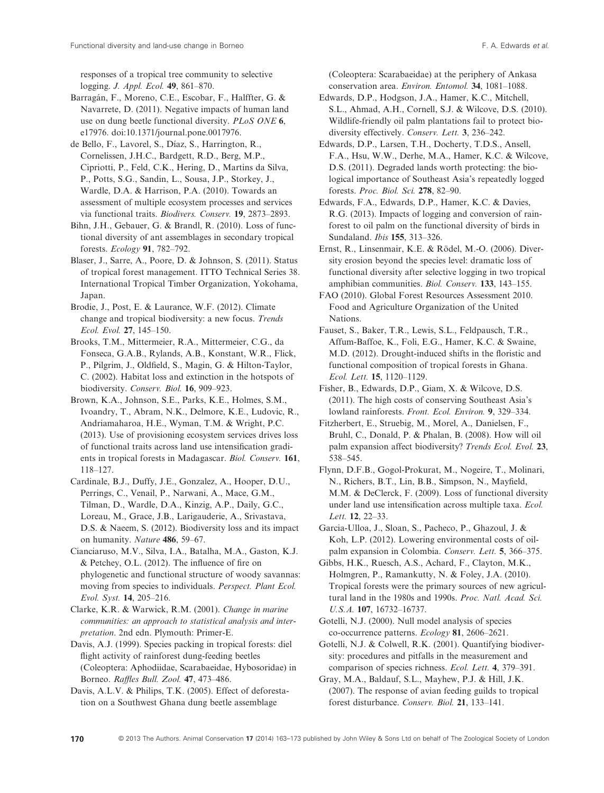responses of a tropical tree community to selective logging. *J. Appl. Ecol.* **49**, 861–870.

- Barragán, F., Moreno, C.E., Escobar, F., Halffter, G. & Navarrete, D. (2011). Negative impacts of human land use on dung beetle functional diversity. *PLoS ONE* **6**, e17976. doi:10.1371/journal.pone.0017976.
- de Bello, F., Lavorel, S., Díaz, S., Harrington, R., Cornelissen, J.H.C., Bardgett, R.D., Berg, M.P., Cipriotti, P., Feld, C.K., Hering, D., Martins da Silva, P., Potts, S.G., Sandin, L., Sousa, J.P., Storkey, J., Wardle, D.A. & Harrison, P.A. (2010). Towards an assessment of multiple ecosystem processes and services via functional traits. *Biodivers. Conserv.* **19**, 2873–2893.
- Bihn, J.H., Gebauer, G. & Brandl, R. (2010). Loss of functional diversity of ant assemblages in secondary tropical forests. *Ecology* **91**, 782–792.
- Blaser, J., Sarre, A., Poore, D. & Johnson, S. (2011). Status of tropical forest management. ITTO Technical Series 38. International Tropical Timber Organization, Yokohama, Japan.
- Brodie, J., Post, E. & Laurance, W.F. (2012). Climate change and tropical biodiversity: a new focus. *Trends Ecol. Evol.* **27**, 145–150.
- Brooks, T.M., Mittermeier, R.A., Mittermeier, C.G., da Fonseca, G.A.B., Rylands, A.B., Konstant, W.R., Flick, P., Pilgrim, J., Oldfield, S., Magin, G. & Hilton-Taylor, C. (2002). Habitat loss and extinction in the hotspots of biodiversity. *Conserv. Biol.* **16**, 909–923.
- Brown, K.A., Johnson, S.E., Parks, K.E., Holmes, S.M., Ivoandry, T., Abram, N.K., Delmore, K.E., Ludovic, R., Andriamaharoa, H.E., Wyman, T.M. & Wright, P.C. (2013). Use of provisioning ecosystem services drives loss of functional traits across land use intensification gradients in tropical forests in Madagascar. *Biol. Conserv.* **161**, 118–127.
- Cardinale, B.J., Duffy, J.E., Gonzalez, A., Hooper, D.U., Perrings, C., Venail, P., Narwani, A., Mace, G.M., Tilman, D., Wardle, D.A., Kinzig, A.P., Daily, G.C., Loreau, M., Grace, J.B., Larigauderie, A., Srivastava, D.S. & Naeem, S. (2012). Biodiversity loss and its impact on humanity. *Nature* **486**, 59–67.
- Cianciaruso, M.V., Silva, I.A., Batalha, M.A., Gaston, K.J. & Petchey, O.L. (2012). The influence of fire on phylogenetic and functional structure of woody savannas: moving from species to individuals. *Perspect. Plant Ecol. Evol. Syst.* **14**, 205–216.
- Clarke, K.R. & Warwick, R.M. (2001). *Change in marine communities: an approach to statistical analysis and interpretation*. 2nd edn. Plymouth: Primer-E.

Davis, A.J. (1999). Species packing in tropical forests: diel flight activity of rainforest dung-feeding beetles (Coleoptera: Aphodiidae, Scarabaeidae, Hybosoridae) in Borneo. *Raffles Bull. Zool.* **47**, 473–486.

Davis, A.L.V. & Philips, T.K. (2005). Effect of deforestation on a Southwest Ghana dung beetle assemblage

(Coleoptera: Scarabaeidae) at the periphery of Ankasa conservation area. *Environ. Entomol.* **34**, 1081–1088.

- Edwards, D.P., Hodgson, J.A., Hamer, K.C., Mitchell, S.L., Ahmad, A.H., Cornell, S.J. & Wilcove, D.S. (2010). Wildlife-friendly oil palm plantations fail to protect biodiversity effectively. *Conserv. Lett.* **3**, 236–242.
- Edwards, D.P., Larsen, T.H., Docherty, T.D.S., Ansell, F.A., Hsu, W.W., Derhe, M.A., Hamer, K.C. & Wilcove, D.S. (2011). Degraded lands worth protecting: the biological importance of Southeast Asia's repeatedly logged forests. *Proc. Biol. Sci.* **278**, 82–90.
- Edwards, F.A., Edwards, D.P., Hamer, K.C. & Davies, R.G. (2013). Impacts of logging and conversion of rainforest to oil palm on the functional diversity of birds in Sundaland. *Ibis* **155**, 313–326.
- Ernst, R., Linsenmair, K.E. & Rödel, M.-O. (2006). Diversity erosion beyond the species level: dramatic loss of functional diversity after selective logging in two tropical amphibian communities. *Biol. Conserv.* **133**, 143–155.
- FAO (2010). Global Forest Resources Assessment 2010. Food and Agriculture Organization of the United Nations.
- Fauset, S., Baker, T.R., Lewis, S.L., Feldpausch, T.R., Affum-Baffoe, K., Foli, E.G., Hamer, K.C. & Swaine, M.D. (2012). Drought-induced shifts in the floristic and functional composition of tropical forests in Ghana. *Ecol. Lett.* **15**, 1120–1129.
- Fisher, B., Edwards, D.P., Giam, X. & Wilcove, D.S. (2011). The high costs of conserving Southeast Asia's lowland rainforests. *Front. Ecol. Environ.* **9**, 329–334.
- Fitzherbert, E., Struebig, M., Morel, A., Danielsen, F., Bruhl, C., Donald, P. & Phalan, B. (2008). How will oil palm expansion affect biodiversity? *Trends Ecol. Evol.* **23**, 538–545.
- Flynn, D.F.B., Gogol-Prokurat, M., Nogeire, T., Molinari, N., Richers, B.T., Lin, B.B., Simpson, N., Mayfield, M.M. & DeClerck, F. (2009). Loss of functional diversity under land use intensification across multiple taxa. *Ecol. Lett.* **12**, 22–33.
- Garcia-Ulloa, J., Sloan, S., Pacheco, P., Ghazoul, J. & Koh, L.P. (2012). Lowering environmental costs of oilpalm expansion in Colombia. *Conserv. Lett.* **5**, 366–375.
- Gibbs, H.K., Ruesch, A.S., Achard, F., Clayton, M.K., Holmgren, P., Ramankutty, N. & Foley, J.A. (2010). Tropical forests were the primary sources of new agricultural land in the 1980s and 1990s. *Proc. Natl. Acad. Sci. U.S.A.* **107**, 16732–16737.
- Gotelli, N.J. (2000). Null model analysis of species co-occurrence patterns. *Ecology* **81**, 2606–2621.
- Gotelli, N.J. & Colwell, R.K. (2001). Quantifying biodiversity: procedures and pitfalls in the measurement and comparison of species richness. *Ecol. Lett.* **4**, 379–391.
- Gray, M.A., Baldauf, S.L., Mayhew, P.J. & Hill, J.K. (2007). The response of avian feeding guilds to tropical forest disturbance. *Conserv. Biol.* **21**, 133–141.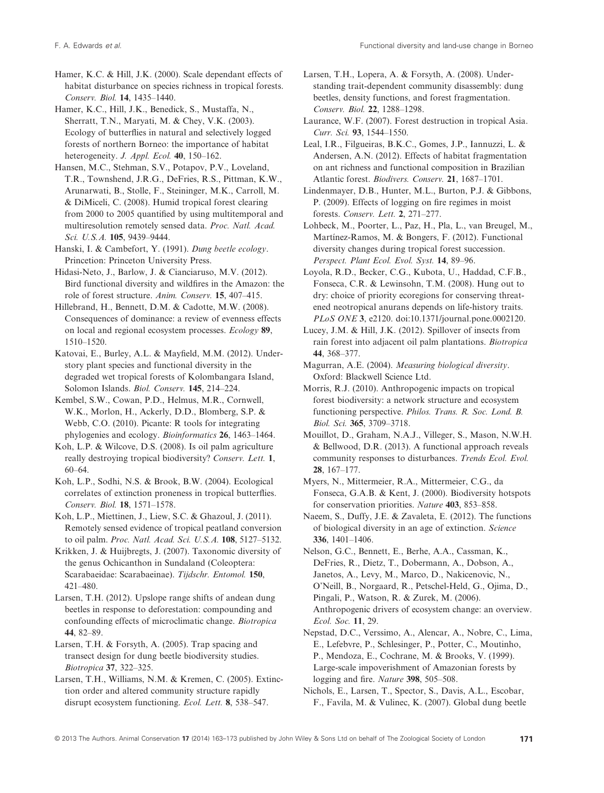Hamer, K.C. & Hill, J.K. (2000). Scale dependant effects of habitat disturbance on species richness in tropical forests. *Conserv. Biol.* **14**, 1435–1440.

Hamer, K.C., Hill, J.K., Benedick, S., Mustaffa, N., Sherratt, T.N., Maryati, M. & Chey, V.K. (2003). Ecology of butterflies in natural and selectively logged forests of northern Borneo: the importance of habitat heterogeneity. *J. Appl. Ecol.* **40**, 150–162.

Hansen, M.C., Stehman, S.V., Potapov, P.V., Loveland, T.R., Townshend, J.R.G., DeFries, R.S., Pittman, K.W., Arunarwati, B., Stolle, F., Steininger, M.K., Carroll, M. & DiMiceli, C. (2008). Humid tropical forest clearing from 2000 to 2005 quantified by using multitemporal and multiresolution remotely sensed data. *Proc. Natl. Acad. Sci. U.S.A.* **105**, 9439–9444.

Hanski, I. & Cambefort, Y. (1991). *Dung beetle ecology*. Princetion: Princeton University Press.

Hidasi-Neto, J., Barlow, J. & Cianciaruso, M.V. (2012). Bird functional diversity and wildfires in the Amazon: the role of forest structure. *Anim. Conserv.* **15**, 407–415.

Hillebrand, H., Bennett, D.M. & Cadotte, M.W. (2008). Consequences of dominance: a review of evenness effects on local and regional ecosystem processes. *Ecology* **89**, 1510–1520.

Katovai, E., Burley, A.L. & Mayfield, M.M. (2012). Understory plant species and functional diversity in the degraded wet tropical forests of Kolombangara Island, Solomon Islands. *Biol. Conserv.* **145**, 214–224.

Kembel, S.W., Cowan, P.D., Helmus, M.R., Cornwell, W.K., Morlon, H., Ackerly, D.D., Blomberg, S.P. & Webb, C.O. (2010). Picante: R tools for integrating phylogenies and ecology. *Bioinformatics* **26**, 1463–1464.

Koh, L.P. & Wilcove, D.S. (2008). Is oil palm agriculture really destroying tropical biodiversity? *Conserv. Lett.* **1**, 60–64.

Koh, L.P., Sodhi, N.S. & Brook, B.W. (2004). Ecological correlates of extinction proneness in tropical butterflies. *Conserv. Biol.* **18**, 1571–1578.

Koh, L.P., Miettinen, J., Liew, S.C. & Ghazoul, J. (2011). Remotely sensed evidence of tropical peatland conversion to oil palm. *Proc. Natl. Acad. Sci. U.S.A.* **108**, 5127–5132.

Krikken, J. & Huijbregts, J. (2007). Taxonomic diversity of the genus Ochicanthon in Sundaland (Coleoptera: Scarabaeidae: Scarabaeinae). *Tijdschr. Entomol.* **150**, 421–480.

Larsen, T.H. (2012). Upslope range shifts of andean dung beetles in response to deforestation: compounding and confounding effects of microclimatic change. *Biotropica* **44**, 82–89.

Larsen, T.H. & Forsyth, A. (2005). Trap spacing and transect design for dung beetle biodiversity studies. *Biotropica* **37**, 322–325.

Larsen, T.H., Williams, N.M. & Kremen, C. (2005). Extinction order and altered community structure rapidly disrupt ecosystem functioning. *Ecol. Lett.* **8**, 538–547.

Larsen, T.H., Lopera, A. & Forsyth, A. (2008). Understanding trait-dependent community disassembly: dung beetles, density functions, and forest fragmentation. *Conserv. Biol.* **22**, 1288–1298.

Laurance, W.F. (2007). Forest destruction in tropical Asia. *Curr. Sci.* **93**, 1544–1550.

Leal, I.R., Filgueiras, B.K.C., Gomes, J.P., Iannuzzi, L. & Andersen, A.N. (2012). Effects of habitat fragmentation on ant richness and functional composition in Brazilian Atlantic forest. *Biodivers. Conserv.* **21**, 1687–1701.

Lindenmayer, D.B., Hunter, M.L., Burton, P.J. & Gibbons, P. (2009). Effects of logging on fire regimes in moist forests. *Conserv. Lett.* **2**, 271–277.

Lohbeck, M., Poorter, L., Paz, H., Pla, L., van Breugel, M., Martínez-Ramos, M. & Bongers, F. (2012). Functional diversity changes during tropical forest succession. *Perspect. Plant Ecol. Evol. Syst.* **14**, 89–96.

Loyola, R.D., Becker, C.G., Kubota, U., Haddad, C.F.B., Fonseca, C.R. & Lewinsohn, T.M. (2008). Hung out to dry: choice of priority ecoregions for conserving threatened neotropical anurans depends on life-history traits. *PLoS ONE* **3**, e2120. doi:10.1371/journal.pone.0002120.

Lucey, J.M. & Hill, J.K. (2012). Spillover of insects from rain forest into adjacent oil palm plantations. *Biotropica* **44**, 368–377.

Magurran, A.E. (2004). *Measuring biological diversity*. Oxford: Blackwell Science Ltd.

Morris, R.J. (2010). Anthropogenic impacts on tropical forest biodiversity: a network structure and ecosystem functioning perspective. *Philos. Trans. R. Soc. Lond. B. Biol. Sci.* **365**, 3709–3718.

Mouillot, D., Graham, N.A.J., Villeger, S., Mason, N.W.H. & Bellwood, D.R. (2013). A functional approach reveals community responses to disturbances. *Trends Ecol. Evol.* **28**, 167–177.

Myers, N., Mittermeier, R.A., Mittermeier, C.G., da Fonseca, G.A.B. & Kent, J. (2000). Biodiversity hotspots for conservation priorities. *Nature* **403**, 853–858.

Naeem, S., Duffy, J.E. & Zavaleta, E. (2012). The functions of biological diversity in an age of extinction. *Science* **336**, 1401–1406.

Nelson, G.C., Bennett, E., Berhe, A.A., Cassman, K., DeFries, R., Dietz, T., Dobermann, A., Dobson, A., Janetos, A., Levy, M., Marco, D., Nakicenovic, N., O'Neill, B., Norgaard, R., Petschel-Held, G., Ojima, D., Pingali, P., Watson, R. & Zurek, M. (2006). Anthropogenic drivers of ecosystem change: an overview. *Ecol. Soc.* **11**, 29.

Nepstad, D.C., Verssimo, A., Alencar, A., Nobre, C., Lima, E., Lefebvre, P., Schlesinger, P., Potter, C., Moutinho, P., Mendoza, E., Cochrane, M. & Brooks, V. (1999). Large-scale impoverishment of Amazonian forests by logging and fire. *Nature* **398**, 505–508.

Nichols, E., Larsen, T., Spector, S., Davis, A.L., Escobar, F., Favila, M. & Vulinec, K. (2007). Global dung beetle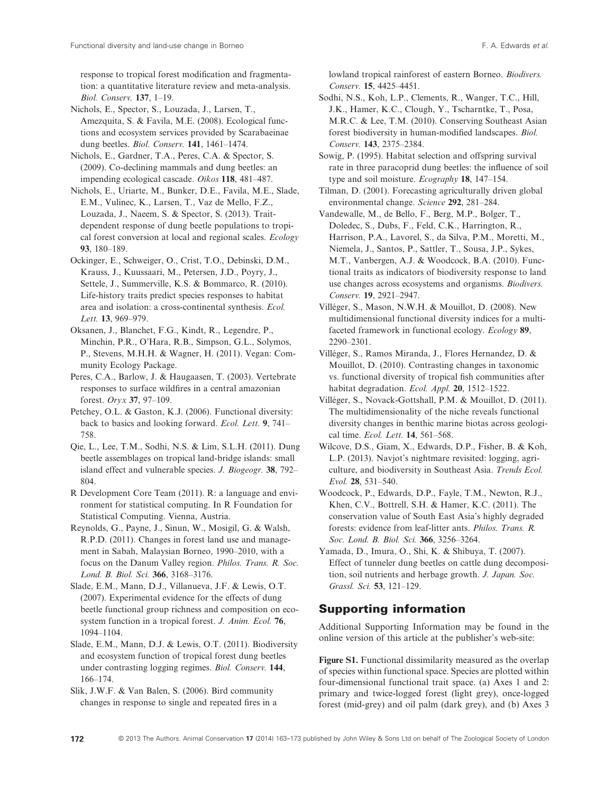response to tropical forest modification and fragmentation: a quantitative literature review and meta-analysis. *Biol. Conserv.* **137**, 1–19.

Nichols, E., Spector, S., Louzada, J., Larsen, T., Amezquita, S. & Favila, M.E. (2008). Ecological functions and ecosystem services provided by Scarabaeinae dung beetles. *Biol. Conserv.* **141**, 1461–1474.

Nichols, E., Gardner, T.A., Peres, C.A. & Spector, S. (2009). Co-declining mammals and dung beetles: an impending ecological cascade. *Oikos* **118**, 481–487.

Nichols, E., Uriarte, M., Bunker, D.E., Favila, M.E., Slade, E.M., Vulinec, K., Larsen, T., Vaz de Mello, F.Z., Louzada, J., Naeem, S. & Spector, S. (2013). Traitdependent response of dung beetle populations to tropical forest conversion at local and regional scales. *Ecology* **93**, 180–189.

Ockinger, E., Schweiger, O., Crist, T.O., Debinski, D.M., Krauss, J., Kuussaari, M., Petersen, J.D., Poyry, J., Settele, J., Summerville, K.S. & Bommarco, R. (2010). Life-history traits predict species responses to habitat area and isolation: a cross-continental synthesis. *Ecol. Lett.* **13**, 969–979.

Oksanen, J., Blanchet, F.G., Kindt, R., Legendre, P., Minchin, P.R., O'Hara, R.B., Simpson, G.L., Solymos, P., Stevens, M.H.H. & Wagner, H. (2011). Vegan: Community Ecology Package.

Peres, C.A., Barlow, J. & Haugaasen, T. (2003). Vertebrate responses to surface wildfires in a central amazonian forest. *Oryx* **37**, 97–109.

Petchey, O.L. & Gaston, K.J. (2006). Functional diversity: back to basics and looking forward. *Ecol. Lett.* **9**, 741– 758.

Qie, L., Lee, T.M., Sodhi, N.S. & Lim, S.L.H. (2011). Dung beetle assemblages on tropical land-bridge islands: small island effect and vulnerable species. *J. Biogeogr.* **38**, 792– 804.

R Development Core Team (2011). R: a language and environment for statistical computing. In R Foundation for Statistical Computing. Vienna, Austria.

Reynolds, G., Payne, J., Sinun, W., Mosigil, G. & Walsh, R.P.D. (2011). Changes in forest land use and management in Sabah, Malaysian Borneo, 1990–2010, with a focus on the Danum Valley region. *Philos. Trans. R. Soc. Lond. B. Biol. Sci.* **366**, 3168–3176.

Slade, E.M., Mann, D.J., Villanueva, J.F. & Lewis, O.T. (2007). Experimental evidence for the effects of dung beetle functional group richness and composition on ecosystem function in a tropical forest. *J. Anim. Ecol.* **76**, 1094–1104.

Slade, E.M., Mann, D.J. & Lewis, O.T. (2011). Biodiversity and ecosystem function of tropical forest dung beetles under contrasting logging regimes. *Biol. Conserv.* **144**, 166–174.

Slik, J.W.F. & Van Balen, S. (2006). Bird community changes in response to single and repeated fires in a lowland tropical rainforest of eastern Borneo. *Biodivers. Conserv.* **15**, 4425–4451.

Sodhi, N.S., Koh, L.P., Clements, R., Wanger, T.C., Hill, J.K., Hamer, K.C., Clough, Y., Tscharntke, T., Posa, M.R.C. & Lee, T.M. (2010). Conserving Southeast Asian forest biodiversity in human-modified landscapes. *Biol. Conserv.* **143**, 2375–2384.

Sowig, P. (1995). Habitat selection and offspring survival rate in three paracoprid dung beetles: the influence of soil type and soil moisture. *Ecography* **18**, 147–154.

Tilman, D. (2001). Forecasting agriculturally driven global environmental change. *Science* **292**, 281–284.

Vandewalle, M., de Bello, F., Berg, M.P., Bolger, T., Doledec, S., Dubs, F., Feld, C.K., Harrington, R., Harrison, P.A., Lavorel, S., da Silva, P.M., Moretti, M., Niemela, J., Santos, P., Sattler, T., Sousa, J.P., Sykes, M.T., Vanbergen, A.J. & Woodcock, B.A. (2010). Functional traits as indicators of biodiversity response to land use changes across ecosystems and organisms. *Biodivers. Conserv.* **19**, 2921–2947.

Villéger, S., Mason, N.W.H. & Mouillot, D. (2008). New multidimensional functional diversity indices for a multifaceted framework in functional ecology. *Ecology* **89**, 2290–2301.

Villéger, S., Ramos Miranda, J., Flores Hernandez, D. & Mouillot, D. (2010). Contrasting changes in taxonomic vs. functional diversity of tropical fish communities after habitat degradation. *Ecol. Appl.* **20**, 1512–1522.

Villéger, S., Novack-Gottshall, P.M. & Mouillot, D. (2011). The multidimensionality of the niche reveals functional diversity changes in benthic marine biotas across geological time. *Ecol. Lett.* **14**, 561–568.

Wilcove, D.S., Giam, X., Edwards, D.P., Fisher, B. & Koh, L.P. (2013). Navjot's nightmare revisited: logging, agriculture, and biodiversity in Southeast Asia. *Trends Ecol. Evol.* **28**, 531–540.

Woodcock, P., Edwards, D.P., Fayle, T.M., Newton, R.J., Khen, C.V., Bottrell, S.H. & Hamer, K.C. (2011). The conservation value of South East Asia's highly degraded forests: evidence from leaf-litter ants. *Philos. Trans. R. Soc. Lond. B. Biol. Sci.* **366**, 3256–3264.

Yamada, D., Imura, O., Shi, K. & Shibuya, T. (2007). Effect of tunneler dung beetles on cattle dung decomposition, soil nutrients and herbage growth. *J. Japan. Soc. Grassl. Sci.* **53**, 121–129.

# **Supporting information**

Additional Supporting Information may be found in the online version of this article at the publisher's web-site:

**Figure S1.** Functional dissimilarity measured as the overlap of species within functional space. Species are plotted within four-dimensional functional trait space. (a) Axes 1 and 2: primary and twice-logged forest (light grey), once-logged forest (mid-grey) and oil palm (dark grey), and (b) Axes 3